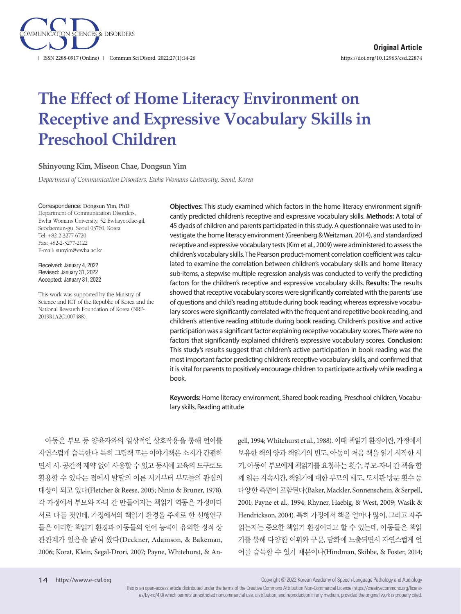

# **The Effect of Home Literacy Environment on Receptive and Expressive Vocabulary Skills in Preschool Children**

#### **Shinyoung Kim, Miseon Chae, Dongsun Yim**

*Department of Communication Disorders, Ewha Womans University, Seoul, Korea*

#### Correspondence: Dongsun Yim, PhD

Department of Communication Disorders, Ewha Womans University, 52 Ewhayeodae-gil, Seodaemun-gu, Seoul 03760, Korea Tel: +82-2-3277-6720 Fax: +82-2-3277-2122 E-mail: sunyim@ewha.ac.kr

Received: January 4, 2022 Revised: January 31, 2022 Accepted: January 31, 2022

This work was supported by the Ministry of Science and ICT of the Republic of Korea and the National Research Foundation of Korea (NRF-2019R1A2C1007488).

**Objectives:** This study examined which factors in the home literacy environment significantly predicted children's receptive and expressive vocabulary skills. **Methods:** A total of 45 dyads of children and parents participated in this study. A questionnaire was used to investigate the home literacy environment (Greenberg & Weitzman, 2014), and standardized receptive and expressive vocabulary tests (Kim et al., 2009) were administered to assess the children's vocabulary skills. The Pearson product-moment correlation coefficient was calculated to examine the correlation between children's vocabulary skills and home literacy sub-items, a stepwise multiple regression analysis was conducted to verify the predicting factors for the children's receptive and expressive vocabulary skills. **Results:** The results showed that receptive vocabulary scores were significantly correlated with the parents' use of questions and child's reading attitude during book reading; whereas expressive vocabulary scores were significantly correlated with the frequent and repetitive book reading, and children's attentive reading attitude during book reading. Children's positive and active participation was a significant factor explaining receptive vocabulary scores. There were no factors that significantly explained children's expressive vocabulary scores. **Conclusion:** This study's results suggest that children's active participation in book reading was the most important factor predicting children's receptive vocabulary skills, and confirmed that it is vital for parents to positively encourage children to participate actively while reading a book.

**Keywords:** Home literacy environment, Shared book reading, Preschool children, Vocabulary skills, Reading attitude

아동은 부모 등 양육자와의 일상적인 상호작용을 통해 언어를 자연스럽게 습득한다. 특히 그림책 또는 이야기책은 소지가 간편하 면서 시·공간적 제약 없이 사용할 수 있고 동시에 교육의 도구로도 활용할 수 있다는 점에서 발달의 이른 시기부터 부모들의 관심의 대상이 되고 있다(Fletcher & Reese, 2005; Ninio & Bruner, 1978). 각 가정에서 부모와 자녀 간 만들어지는 책읽기 역동은 가정마다 서로 다를 것인데, 가정에서의 책읽기 환경을 주제로 한 선행연구 들은 이러한 책읽기 환경과 아동들의 언어 능력이 유의한 정적 상 관관계가 있음을 밝혀 왔다(Deckner, Adamson, & Bakeman, 2006; Korat, Klein, Segal-Drori, 2007; Payne, Whitehurst, & Angell, 1994; Whitehurst et al., 1988). 이때책읽기환경이란, 가정에서 보유한 책의 양과 책읽기의 빈도, 아동이 처음 책을 읽기 시작한 시 기, 아동이 부모에게 책읽기를 요청하는 횟수, 부모-자녀 간 책을 함 께 읽는 지속시간, 책읽기에 대한 부모의 태도, 도서관 방문 횟수 등 다양한 측면이 포함된다(Baker, Mackler, Sonnenschein, & Serpell, 2001; Payne et al., 1994; Rhyner, Haebig, & West, 2009; Wasik & Hendrickson, 2004). 특히 가정에서 책을 얼마나 많이, 그리고 자주 읽는지는 중요한 책읽기 환경이라고 할 수 있는데, 아동들은 책읽 기를 통해 다양한 어휘와 구문, 담화에 노출되면서 자연스럽게 언 어를 습득할 수 있기 때문이다(Hindman, Skibbe, & Foster, 2014;

Copyright © 2022 Korean Academy of Speech-Language Pathology and Audiology

This is an open-access article distributed under the terms of the Creative Commons Attribution Non-Commercial License (https://creativecommons.org/licenses/by-nc/4.0) which permits unrestricted noncommercial use, distribution, and reproduction in any medium, provided the original work is properly cited.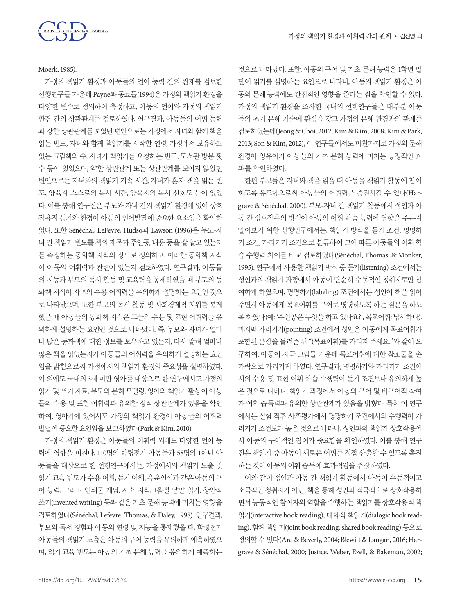

Moerk, 1985).

가정의 책읽기 환경과 아동들의 언어 능력 간의 관계를 검토한 선행연구들 가운데 Payne과 동료들(1994)은 가정의 책읽기 환경을 다양한 변수로 정의하여 측정하고, 아동의 언어와 가정의 책읽기 환경 간의 상관관계를 검토하였다. 연구결과, 아동들의 어휘 능력 과 강한 상관관계를 보였던 변인으로는 가정에서 자녀와 함께 책을 읽는 빈도, 자녀와 함께 책읽기를 시작한 연령, 가정에서 보유하고 있는 그림책의 수, 자녀가 책읽기를 요청하는 빈도, 도서관 방문 횟 수 등이 있었으며, 약한 상관관계 또는 상관관계를 보이지 않았던 변인으로는 자녀와의 책읽기 지속 시간, 자녀가 혼자 책을 읽는 빈 도, 양육자 스스로의 독서 시간, 양육자의 독서 선호도 등이 있었 다. 이를 통해 연구진은 부모와 자녀 간의 책읽기 환경에 있어 상호 작용적 동기와 환경이 아동의 언어발달에 중요한 요소임을 확인하 였다. 또한 Sénéchal, LeFevre, Hudso과 Lawson (1996)은 부모-자 녀 간 책읽기 빈도를 책의 제목과 주인공, 내용 등을 잘 알고 있는지 를 측정하는 동화책 지식의 정도로 정의하고, 이러한 동화책 지식 이 아동의 어휘력과 관련이 있는지 검토하였다. 연구결과, 아동들 의 지능과 부모의 독서 활동 및 교육력을 통제하였을 때 부모의 동 화책 지식이 자녀의 수용 어휘력을 유의하게 설명하는 요인인 것으 로 나타났으며, 또한 부모의 독서 활동 및 사회경제적 지위를 통제 했을 때 아동들의 동화책 지식은 그들의 수용 및 표현 어휘력을 유 의하게 설명하는 요인인 것으로 나타났다. 즉, 부모와 자녀가 얼마 나 많은 동화책에 대한 정보를 보유하고 있는지, 다시 말해 얼마나 많은 책을 읽었는지가 아동들의 어휘력을 유의하게 설명하는 요인 임을 밝힘으로써 가정에서의 책읽기 환경의 중요성을 설명하였다. 이 외에도 국내의 3세 미만 영아를 대상으로 한 연구에서도 가정의 읽기 및 쓰기 자료, 부모의 문해 모델링, 영아의 책읽기 활동이 아동 들의 수용 및 표현 어휘력과 유의한 정적 상관관계가 있음을 확인 하여, 영아기에 있어서도 가정의 책읽기 환경이 아동들의 어휘력 발달에중요한요인임을보고하였다(Park & Kim, 2010).

가정의 책읽기 환경은 아동들의 어휘력 외에도 다양한 언어 능 력에 영향을 미친다. 110명의 학령전기 아동들과 58명의 1학년 아 동들을 대상으로 한 선행연구에서는, 가정에서의 책읽기 노출 및 읽기교육빈도가수용어휘, 듣기이해, 음운인식과같은아동의구 어 능력, 그리고 인쇄물 개념, 자소 지식, 1음절 낱말 읽기, 창안적 쓰기(invented writing) 등과 같은 기초 문해 능력에 미치는 영향을 검토하였다(Sénéchal, Lefevre, Thomas, & Daley, 1998). 연구결과, 부모의 독서 경험과 아동의 연령 및 지능을 통제했을 때, 학령전기 아동들의 책읽기 노출은 아동의 구어 능력을 유의하게 예측하였으 며, 읽기 교육 빈도는 아동의 기초 문해 능력을 유의하게 예측하는

것으로 나타났다. 또한, 아동의 구어 및 기초 문해 능력은 1학년 말 단어 읽기를 설명하는 요인으로 나타나, 아동의 책읽기 환경은 아 동의 문해 능력에도 간접적인 영향을 준다는 점을 확인할 수 있다. 가정의 책읽기 환경을 조사한 국내의 선행연구들은 대부분 아동 들의 초기 문해 기술에 관심을 갖고 가정의 문해 환경과의 관계를 검토하였는데(Jeong & Choi, 2012; Kim & Kim, 2008; Kim & Park, 2013; Son & Kim, 2012), 이 연구들에서도 마찬가지로 가정의 문해 환경이 영유아기 아동들의 기초 문해 능력에 미치는 긍정적인 효 과를확인하였다.

한편 부모들은 자녀와 책을 읽을 때 아동을 책읽기 활동에 참여 하도록 유도함으로써 아동들의 어휘력을 증진시킬 수 있다(Hargrave & Sénéchal, 2000). 부모-자녀 간 책읽기 활동에서 성인과 아 동 간 상호작용의 방식이 아동의 어휘 학습 능력에 영향을 주는지 알아보기 위한 선행연구에서는, 책읽기 방식을 듣기 조건, 명명하 기 조건, 가리키기 조건으로 분류하여 그에 따른 아동들의 어휘 학 습 수행력 차이를 비교 검토하였다(Sénéchal, Thomas, & Monker, 1995). 연구에서 사용한 책읽기 방식 중 듣기(listening) 조건에서는 성인과의 책읽기 과정에서 아동이 단순히 수동적인 청취자로만 참 여하게 하였으며, 명명하기(labeling) 조건에서는 성인이 책을 읽어 주면서 아동에게 목표어휘를 구어로 명명하도록 하는 질문을 하도 록 하였다(예: '주인공은 무엇을 하고 있나요?', 목표어휘: 낚시하다). 마지막 가리키기(pointing) 조건에서 성인은 아동에게 목표어휘가 포함된문장을들려준뒤"(목표어휘)를가리켜주세요."와같이요 구하여, 아동이 자극 그림들 가운데 목표어휘에 대한 참조물을 손 가락으로 가리키게 하였다. 연구결과, 명명하기와 가리키기 조건에 서의 수용 및 표현 어휘 학습 수행력이 듣기 조건보다 유의하게 높 은 것으로 나타나, 책읽기 과정에서 아동의 구어 및 비구어적 참여 가 어휘 습득력과 유의한 상관관계가 있음을 밝혔다. 특히 이 연구 에서는 실험 직후 사후평가에서 명명하기 조건에서의 수행력이 가 리키기 조건보다 높은 것으로 나타나, 성인과의 책읽기 상호작용에 서 아동의 구어적인 참여가 중요함을 확인하였다. 이를 통해 연구 진은 책읽기 중 아동이 새로운 어휘를 직접 산출할 수 있도록 촉진 하는것이아동의어휘습득에효과적임을주장하였다.

이와 같이 성인과 아동 간 책읽기 활동에서 아동이 수동적이고 소극적인 청취자가 아닌, 책을 통해 성인과 적극적으로 상호작용하 면서 능동적인 참여자의 역할을 수행하는 책읽기를 상호작용적 책 읽기(interactive book reading), 대화식 책읽기(dialogic book reading), 함께 책읽기(joint book reading, shared book reading) 등으로 정의할 수 있다(Ard & Beverly, 2004; Blewitt & Langan, 2016; Hargrave & Sénéchal, 2000; Justice, Weber, Ezell, & Bakeman, 2002;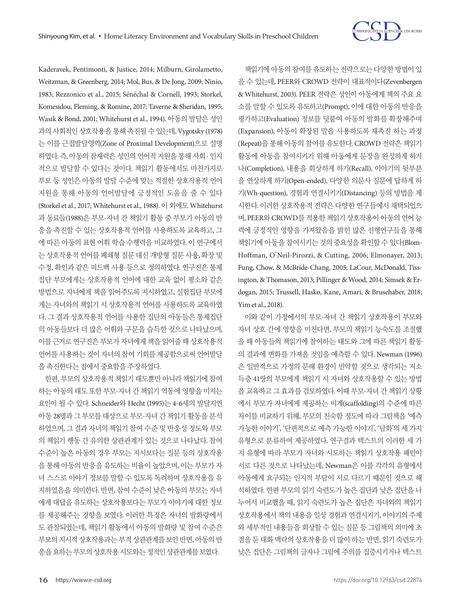

Kaderavek, Pentimonti, & Justice, 2014; Milburn, Girolametto, Weitzman, & Greenberg, 2014; Mol, Bus, & De Jong, 2009; Ninio, 1983; Rezzonico et al., 2015; Sénéchal & Cornell, 1993; Storkel, Komesidou, Fleming, & Romine, 2017; Taverne & Sheridan, 1995; Wasik & Bond, 2001; Whitehurst et al., 1994). 아동의 발달은 성인 과의사회적인상호작용을통해촉진될수있는데, Vygotsky (1978) 는 이를 근접발달영역(Zone of Proximal Development)으로 설명 하였다. 즉, 아동의 잠재력은 성인의 언어적 지원을 통해 사회 · 인지 적으로 발달할 수 있다는 것이다. 책읽기 활동에서도 마찬가지로 부모 등 성인은 아동의 발달 수준에 맞는 적절한 상호작용적 언어 지원을 통해 아동의 언어발달에 긍정적인 도움을 줄 수 있다 (Storkel et al., 2017; Whitehurst et al., 1988). 이 외에도 Whitehurst 과 동료들(1988)은 부모-자녀 간 책읽기 활동 중 부모가 아동의 반 응을 촉진할 수 있는 상호작용적 언어를 사용하도록 교육하고, 그 에 따른 아동의 표현 어휘 학습 수행력을 비교하였다. 이 연구에서 는 상호작용적 언어를 폐쇄형 질문 대신 개방형 질문 사용, 확장 및 수정, 확인과 같은 피드백 사용 등으로 정의하였다. 연구진은 통제 집단 부모에게는 상호작용적 언어에 대한 교육 없이 평소와 같은 방법으로 자녀에게 책을 읽어주도록 지시하였고, 실험집단 부모에 게는 자녀와의 책읽기 시 상호작용적 언어를 사용하도록 교육하였 다. 그 결과 상호작용적 언어를 사용한 집단의 아동들은 통제집단 의 아동들보다 더 많은 어휘와 구문을 습득한 것으로 나타났으며, 이를 근거로 연구진은 부모가 자녀에게 책을 읽어줄 때 상호작용적 언어를 사용하는 것이 자녀의 참여 기회를 제공함으로써 언어발달 을 촉진한다는 점에서 중요함을 주장하였다.

한편, 부모의 상호작용적 책읽기 태도뿐만 아니라 책읽기에 참여 하는 아동의 태도 또한 부모-자녀 간 책읽기 역동에 영향을 미치는 요인이 될 수 있다. Schneider와 Hecht (1995)는 4-6세의 발달지연 아동 28명과 그 부모를 대상으로 부모-자녀 간 책읽기 활동을 분석 하였으며, 그 결과 자녀의 책읽기 참여 수준 및 반응성 정도와 부모 의 책읽기 행동 간 유의한 상관관계가 있는 것으로 나타났다. 참여 수준이 높은 아동의 경우 부모는 지시보다는 질문 등의 상호작용 을 통해 아동의 반응을 유도하는 비율이 높았으며, 이는 부모가 자 녀 스스로 이야기 정보를 말할 수 있도록 독려하며 상호작용을 유 지하였음을 의미한다. 반면, 참여 수준이 낮은 아동의 부모는 자녀 에게 대답을 유도하는 상호작용보다는 부모가 이야기에 대한 정보 를 제공해주는 경향을 보였다. 이러한 특징은 자녀의 발화량에서 도 관찰되었는데, 책읽기 활동에서 아동의 발화량 및 참여 수준은 부모의 지시적 상호작용과는 부적 상관관계를 보인 반면, 아동의 반 응을요하는부모의상호작용시도와는정적인상관관계를보였다.

책읽기에 아동의 참여를 유도하는 전략으로는 다양한 방법이 있 을 수 있는데, PEER와 CROWD 전략이 대표적이다(Zevenbergen & Whitehurst, 2003). PEER 전략은 성인이 아동에게 책의 주요 요 소를 말할 수 있도록 유도하고(Prompt), 이에 대한 아동의 반응을 평가하고(Evaluation) 정보를 덧붙여 아동의 발화를 확장해주며 (Expansion), 아동이 확장된 말을 사용하도록 재촉진 하는 과정 (Repeat)을 통해 아동의 참여를 유도한다. CROWD 전략은 책읽기 활동에 아동을 참여시키기 위해 아동에게 문장을 완성하게 하거 나(Completion), 내용을 회상하게 하기(Recall), 이야기의 뒷부분 을 연상하게 하기(Open-ended), 다양한 의문사 질문에 답하게 하 기(Wh-question), 경험과 연결시키기(Distancing) 등의 방법을 제 시한다. 이러한 상호작용적 전략은 다양한 연구들에서 채택되었으 며, PEER와 CROWD를 적용한 책읽기 상호작용이 아동의 언어 능 력에 긍정적인 영향을 가져왔음을 밝힌 많은 선행연구들을 통해 책읽기에 아동을 참여시키는 것의 중요성을 확인할 수 있다(Blom-Hoffman, O'Neil-Pirozzi, & Cutting, 2006; Elmonayer, 2013; Fung, Chow, & McBride-Chang, 2005; LaCour, McDonald, Tissington, & Thomason, 2013; Pillinger & Wood, 2014; Simsek & Erdogan, 2015; Trussell, Hasko, Kane, Amari, & Brusehaber, 2018; Yim et al., 2018).

이와 같이 가정에서의 부모-자녀 간 책읽기 상호작용이 부모와 자녀 상호 간에 영향을 미친다면, 부모의 책읽기 능숙도를 조절했 을 때 아동들의 책읽기에 참여하는 태도와 그에 따른 책읽기 활동 의 결과에 변화를 가져올 것임을 예측할 수 있다. Newman (1996) 은 일반적으로 가정의 문해 환경이 빈약할 것으로 생각되는 저소 득층 41쌍의 부모에게 책읽기 시 자녀와 상호작용할 수 있는 방법 을 교육하고 그 효과를 검토하였다. 이때 부모-자녀 간 책읽기 상황 에서 부모가 자녀에게 제공하는 비계(scaffolding)의 수준에 따른 차이를 비교하기 위해, 부모의 친숙함 정도에 따라 그림책을 '예측 가능한 이야기', '단편적으로 예측 가능한 이야기', '담화'의 세 가지 유형으로 분류하여 제공하였다. 연구결과 텍스트의 이러한 세 가 지 유형에 따라 부모가 자녀와 시도하는 책읽기 상호작용 패턴이 서로 다른 것으로 나타났는데, Newman은 이를 각각의 유형에서 아동에게 요구되는 인지적 부담이 서로 다르기 때문인 것으로 해 석하였다. 한편 부모의 읽기 숙련도가 높은 집단과 낮은 집단을 나 누어서 비교했을 때, 읽기 숙련도가 높은 집단은 자녀와의 책읽기 상호작용에서 책의 내용을 일상 경험과 연결시키기, 이야기의 주제 와 세부적인 내용들을 회상할 수 있는 질문 등 그림책의 의미에 초 점을 둔 대화 맥락의 상호작용을 더 많이 하는 반면, 읽기 숙련도가 낮은 집단은 그림책의 글자나 그림에 주의를 집중시키거나 텍스트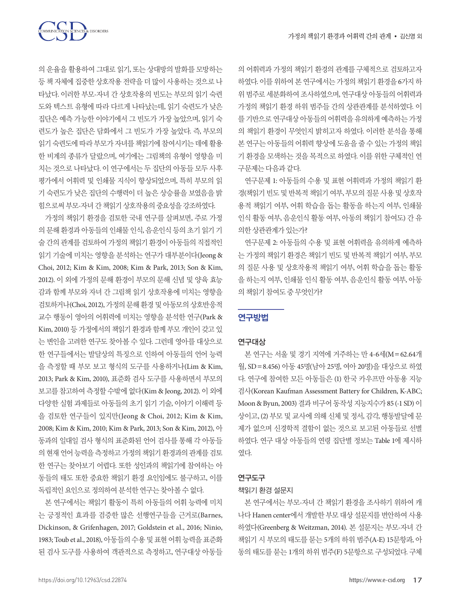TON SCIENCES & DISORDERS

의 운율을 활용하여 그대로 읽기, 또는 상대방의 발화를 모방하는 등 책 자체에 집중한 상호작용 전략을 더 많이 사용하는 것으로 나 타났다. 이러한 부모-자녀 간 상호작용의 빈도는 부모의 읽기 숙련 도와 텍스트 유형에 따라 다르게 나타났는데, 읽기 숙련도가 낮은 집단은 예측 가능한 이야기에서 그 빈도가 가장 높았으며, 읽기 숙 련도가 높은 집단은 담화에서 그 빈도가 가장 높았다. 즉, 부모의 읽기 숙련도에 따라 부모가 자녀를 책읽기에 참여시키는 데에 활용 한 비계의 종류가 달랐으며, 여기에는 그림책의 유형이 영향을 미 치는 것으로 나타났다. 이 연구에서는 두 집단의 아동들 모두 사후 평가에서 어휘력 및 인쇄물 지식이 향상되었으며, 특히 부모의 읽 기 숙련도가 낮은 집단의 수행력이 더 높은 상승률을 보였음을 밝 힘으로써부모-자녀간책읽기상호작용의중요성을강조하였다.

가정의 책읽기 환경을 검토한 국내 연구를 살펴보면, 주로 가정 의 문해 환경과 아동들의 인쇄물 인식, 음운인식 등의 초기 읽기 기 술 간의 관계를 검토하여 가정의 책읽기 환경이 아동들의 직접적인 읽기 기술에 미치는 영향을 분석하는 연구가 대부분이다(Jeong & Choi, 2012; Kim & Kim, 2008; Kim & Park, 2013; Son & Kim, 2012). 이 외에 가정의 문해 환경이 부모의 문해 신념 및 양육 효능 감과 함께 부모와 자녀 간 그림책 읽기 상호작용에 미치는 영향을 검토하거나(Choi, 2012), 가정의문해환경및아동모의상호반응적 교수 행동이 영아의 어휘력에 미치는 영향을 분석한 연구(Park & Kim, 2010) 등 가정에서의 책읽기 환경과 함께 부모 개인이 갖고 있 는 변인을 고려한 연구도 찾아볼 수 있다. 그런데 영아를 대상으로 한 연구들에서는 발달상의 특징으로 인하여 아동들의 언어 능력 을 측정할 때 부모 보고 형식의 도구를 사용하거나(Lim & Kim, 2013; Park & Kim, 2010), 표준화 검사 도구를 사용하면서 부모의 보고를 참고하여 측정할 수밖에 없다(Kim & Jeong, 2012). 이 외에 다양한 실험 과제들로 아동들의 초기 읽기 기술, 이야기 이해력 등 을 검토한 연구들이 있지만(Jeong & Choi, 2012; Kim & Kim, 2008; Kim & Kim, 2010; Kim & Park, 2013; Son & Kim, 2012), 아 동과의 일대일 검사 형식의 표준화된 언어 검사를 통해 각 아동들 의 현재 언어 능력을 측정하고 가정의 책읽기 환경과의 관계를 검토 한 연구는 찾아보기 어렵다. 또한 성인과의 책읽기에 참여하는 아 동들의 태도 또한 중요한 책읽기 환경 요인임에도 불구하고, 이를 독립적인요인으로정의하여분석한연구는찾아볼수없다.

본 연구에서는 책읽기 활동이 특히 아동들의 어휘 능력에 미치 는 긍정적인 효과를 검증한 많은 선행연구들을 근거로(Barnes, Dickinson, & Grifenhagen, 2017; Goldstein et al., 2016; Ninio, 1983; Toub et al., 2018), 아동들의 수용 및 표현 어휘 능력을 표준화 된 검사 도구를 사용하여 객관적으로 측정하고, 연구대상 아동들

의 어휘력과 가정의 책읽기 환경의 관계를 구체적으로 검토하고자 하였다. 이를 위하여 본 연구에서는 가정의 책읽기 환경을 6가지 하 위 범주로 세분화하여 조사하였으며, 연구대상 아동들의 어휘력과 가정의 책읽기 환경 하위 범주들 간의 상관관계를 분석하였다. 이 를 기반으로 연구대상 아동들의 어휘력을 유의하게 예측하는 가정 의 책읽기 환경이 무엇인지 밝히고자 하였다. 이러한 분석을 통해 본 연구는 아동들의 어휘력 향상에 도움을 줄 수 있는 가정의 책읽 기 환경을 모색하는 것을 목적으로 하였다. 이를 위한 구체적인 연 구문제는 다음과 같다.

연구문제 1: 아동들의 수용 및 표현 어휘력과 가정의 책읽기 환 경(책읽기 빈도 및 반복적 책읽기 여부, 부모의 질문 사용 및 상호작 용적 책읽기 여부, 어휘 학습을 돕는 활동을 하는지 여부, 인쇄물 인식 활동 여부, 음운인식 활동 여부, 아동의 책읽기 참여도) 간 유 의한상관관계가있는가?

연구문제 2: 아동들의 수용 및 표현 어휘력을 유의하게 예측하 는 가정의 책읽기 환경은 책읽기 빈도 및 반복적 책읽기 여부, 부모 의 질문 사용 및 상호작용적 책읽기 여부, 어휘 학습을 돕는 활동 을 하는지 여부, 인쇄물 인식 활동 여부, 음운인식 활동 여부, 아동 의책읽기참여도중무엇인가?

# 연구방법

#### 연구대상

본 연구는 서울 및 경기 지역에 거주하는 만 4-6세(M=62.64개 월, SD=8.456) 아동 45명(남아 25명, 여아 20명)을 대상으로 하였 다. 연구에 참여한 모든 아동들은 (1) 한국 카우프만 아동용 지능 검사(Korean Kaufman Assessment Battery for Children, K-ABC; Moon & Byun, 2003) 결과 비구어 동작성 지능지수가 85 (-1 SD) 이 상이고, (2) 부모 및 교사에 의해 신체 및 정서, 감각, 행동발달에 문 제가 없으며 신경학적 결함이 없는 것으로 보고된 아동들로 선별 하였다. 연구 대상 아동들의 연령 집단별 정보는 Table 1에 제시하 였다.

## 연구도구

#### 책읽기 환경 설문지

본 연구에서는 부모-자녀 간 책읽기 환경을 조사하기 위하여 캐 나다 Hanen center에서 개발한 부모 대상 설문지를 번안하여 사용 하였다(Greenberg & Weitzman, 2014). 본 설문지는 부모-자녀 간 책읽기 시 부모의 태도를 묻는 5개의 하위 범주(A-E) 15문항과, 아 동의 태도를 묻는 1개의 하위 범주(F) 5문항으로 구성되었다. 구체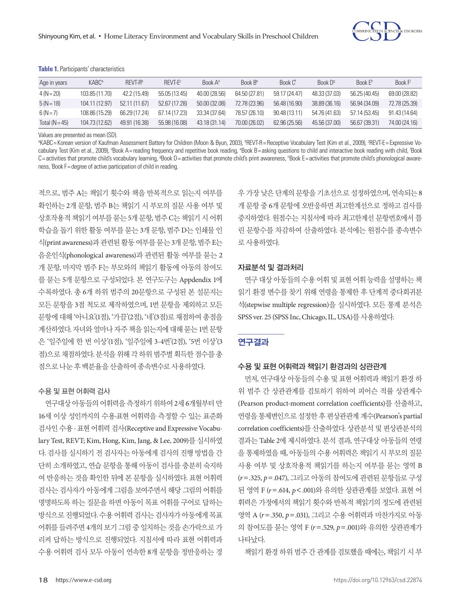

| Table 1. Participants' characteristics |  |
|----------------------------------------|--|
|----------------------------------------|--|

| Age in years     | KABC <sup>a</sup> | RFVT-R <sup>b</sup> | RFVT-F <sup>c</sup> | $B$ onk $Ad$  | $B$ nnk $Be$  | Book C <sup>t</sup> | Book $Dg$     | Book $Eh$     | Book F        |
|------------------|-------------------|---------------------|---------------------|---------------|---------------|---------------------|---------------|---------------|---------------|
| $4(N=20)$        | 103.85 (11.70)    | 42.2 (15.49)        | 55.05 (13.45)       | 40.00 (28.56) | 64.50 (27.81) | 59.17 (24.47)       | 48.33 (37.03) | 56.25 (40.45) | 69.00 (28.82) |
| $5(N=18)$        | 104.11 (12.97)    | 52.11 (11.67)       | 52.67 (17.28)       | 50.00 (32.08) | 72.78 (23.96) | 56.48 (16.90)       | 38.89 (36.16) | 56.94 (34.09) | 72.78 (25.39) |
| $6(N=7)$         | 108.86 (15.29)    | 66.29 (17.24)       | 67.14 (17.23)       | 33.34 (37.64) | 78.57 (26.10) | 90.48 (13.11)       | 54.76 (41.63) | 57.14 (53.45) | 91.43 (14.64) |
| Total $(N = 45)$ | 104.73 (12.62)    | 49.91 (16.38)       | 55.98 (16.08)       | 43.18(31.14)  | 70.00 (26.02) | 62.96 (25.56)       | 45.56 (37.00) | 56.67 (39.31) | 74.00 (24.16) |

Values are presented as mean (SD).

°KABC=Korean version of Kaufman Assessment Battery for Children (Moon & Byun, 2003), °REVT-R=Receptive Vocabulary Test (Kim et al., 2009), °REVT-E=Expressive Vocabulary Test (Kim et al., 2009), <sup>a</sup>Book A=reading frequency and repetitive book reading, °Book B=asking questions to child and interactive book reading with child, <sup>†</sup>Book C=activities that promote child's vocabulary learning, <sup>g</sup>Book D=activities that promote child's print awareness, <sup>h</sup>Book E=activities that promote child's phonological awareness, i Book F= degree of active participation of child in reading.

적으로, 범주 A는 책읽기 횟수와 책을 반복적으로 읽는지 여부를 확인하는 2개 문항, 범주 B는 책읽기 시 부모의 질문 사용 여부 및 상호작용적 책읽기 여부를 묻는 5개 문항, 범주 C는 책읽기 시 어휘 학습을 돕기 위한 활동 여부를 묻는 3개 문항, 범주 D는 인쇄물 인 식(print awareness)과관련된활동여부를묻는 3개문항, 범주 E는 음운인식(phonological awareness)과 관련된 활동 여부를 묻는 2 개 문항, 마지막 범주 F는 부모와의 책읽기 활동에 아동의 참여도 를 묻는 5개 문항으로 구성되었다. 본 연구도구는 Appdendix 1에 수록하였다. 총 6개 하위 범주의 20문항으로 구성된 본 설문지는 모든 문항을 3점 척도로 제작하였으며, 1번 문항을 제외하고 모든 문항에 대해 '아니요'(1점), '가끔'(2점), '네'(3점)로 채점하여 총점을 계산하였다. 자녀와 얼마나 자주 책을 읽는지에 대해 묻는 1번 문항 은 '일주일에 한 번 이상'(1점), '일주일에 3-4번'(2점), '5번 이상'(3 점)으로 채점하였다. 분석을 위해 각 하위 범주별 획득한 점수를 총 점으로나눈후백분율을산출하여종속변수로사용하였다.

#### 수용 및 표현 어휘력 검사

연구대상 아동들의 어휘력을 측정하기 위하여 2세 6개월부터 만 16세 이상 성인까지의 수용·표현 어휘력을 측정할 수 있는 표준화 검사인 수용 · 표현 어휘력 검사(Receptive and Expressive Vocabulary Test, REVT; Kim, Hong, Kim, Jang, & Lee, 2009)를 실시하였 다. 검사를 실시하기 전 검사자는 아동에게 검사의 진행 방법을 간 단히 소개하였고, 연습 문항을 통해 아동이 검사를 충분히 숙지하 여 반응하는 것을 확인한 뒤에 본 문항을 실시하였다. 표현 어휘력 검사는 검사자가 아동에게 그림을 보여주면서 해당 그림의 어휘를 명명하도록 하는 질문을 하면 아동이 목표 어휘를 구어로 답하는 방식으로 진행되었다. 수용 어휘력 검사는 검사자가 아동에게 목표 어휘를 들려주면 4개의 보기 그림 중 일치하는 것을 손가락으로 가 리켜 답하는 방식으로 진행되었다. 지침서에 따라 표현 어휘력과 수용 어휘력 검사 모두 아동이 연속한 8개 문항을 정반응하는 경 우 가장 낮은 단계의 문항을 기초선으로 설정하였으며, 연속되는 8 개 문항 중 6개 문항에 오반응하면 최고한계선으로 정하고 검사를 중지하였다. 원점수는 지침서에 따라 최고한계선 문항번호에서 틀 린 문항수를 차감하여 산출하였다. 분석에는 원점수를 종속변수 로사용하였다.

#### 자료분석 및 결과처리

연구 대상 아동들의 수용 어휘 및 표현 어휘 능력을 설명하는 책 읽기 환경 변수를 찾기 위해 연령을 통제한 후 단계적 중다회귀분 석(stepwise multiple regression)을 실시하였다. 모든 통계 분석은 SPSS ver. 25 (SPSS Inc, Chicago, IL, USA)를사용하였다.

#### 연구결과

#### 수용 및 표현 어휘력과 책읽기 환경과의 상관관계

먼저, 연구대상 아동들의 수용 및 표현 어휘력과 책읽기 환경 하 위 범주 간 상관관계를 검토하기 위하여 피어슨 적률 상관계수 (Pearson product-moment correlation coefficients)를 산출하고, 연령을 통제변인으로 설정한 후 편상관관계 계수(Pearson's partial correlation coefficients)를 산출하였다. 상관분석 및 편상관분석의 결과는 Table 2에 제시하였다. 분석 결과, 연구대상 아동들의 연령 을 통제하였을 때, 아동들의 수용 어휘력은 책읽기 시 부모의 질문 사용 여부 및 상호작용적 책읽기를 하는지 여부를 묻는 영역 B (*r*=.325, *p*=.047), 그리고 아동의 참여도에 관련된 문항들로 구성 된 영역 F (*r*=.614, *p*<.001)와 유의한 상관관계를 보였다. 표현 어 휘력은 가정에서의 책읽기 횟수와 반복적 책읽기의 정도에 관련된 영역 A (*r*=.350, *p*=.031), 그리고 수용 어휘력과 마찬가지로 아동 의 참여도를 묻는 영역 F (*r*=.529, *p*=.001)와 유의한 상관관계가 나타났다.

책읽기 환경 하위 범주 간 관계를 검토했을 때에는, 책읽기 시 부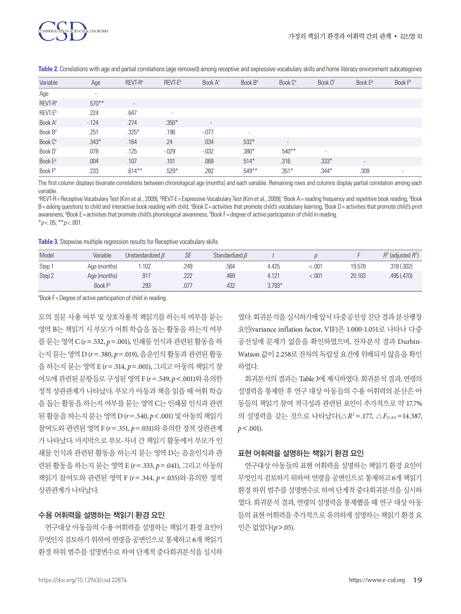

| Variable            | Age       | REVT-R <sup>a</sup>      | REVT-E <sup>b</sup> | Book A <sup>c</sup>      | Book B <sup>d</sup> | Book C <sup>e</sup> | Book D <sup>f</sup>      | Book E <sup>9</sup>      | Book F <sup>th</sup> |
|---------------------|-----------|--------------------------|---------------------|--------------------------|---------------------|---------------------|--------------------------|--------------------------|----------------------|
| Age                 | $\sim$    |                          |                     |                          |                     |                     |                          |                          |                      |
| REVT-R <sup>a</sup> | $.570***$ | $\overline{\phantom{a}}$ |                     |                          |                     |                     |                          |                          |                      |
| REVT-E <sup>b</sup> | .224      | .647                     | ٠                   |                          |                     |                     |                          |                          |                      |
| Book A <sup>c</sup> | $-124$    | .274                     | $.350*$             | $\overline{\phantom{a}}$ |                     |                     |                          |                          |                      |
| Book B <sup>d</sup> | .251      | $.325*$                  | .196                | $-.077$                  | ٠                   |                     |                          |                          |                      |
| Book C <sup>e</sup> | $.343*$   | .164                     | .24                 | .034                     | $.532*$             | $\sim$              |                          |                          |                      |
| Book D <sup>f</sup> | .078      | .125                     | $-0.029$            | $-0.032$                 | $.380*$             | $.540***$           | $\overline{\phantom{a}}$ |                          |                      |
| Book E <sup>g</sup> | .004      | .107                     | .101                | .068                     | $.514*$             | .316                | $.333*$                  | $\overline{\phantom{a}}$ |                      |
| Book F <sup>h</sup> | .233      | $.614***$                | $.529*$             | .282                     | $.549**$            | $.351*$             | $.344*$                  | .309                     |                      |

**Table 2.** Correlations with age and partial correlations (age removed) among receptive and expressive vocabulary skills and home literacy environment subcategories

The first column displays bivariate correlations between chronological age (months) and each variable. Remaining rows and columns display partial correlation among each variable.

<sup>a</sup>REVT-R=Receptive Vocabulary Test (Kim et al., 2009), <sup>b</sup>REVT-E=Expressive Vocabulary Test (Kim et al., 2009); °Book A=reading frequency and repetitive book reading, °Book B=asking questions to child and interactive book reading with child, °Book C=activities that promote child's vocabulary learning, 'Book D=activities that promote child's print awareness, <sup>9</sup>Book E=activities that promote child's phonological awareness, <sup>h</sup>Book F=degree of active participation of child in reading. \**p* < .05, \*\**p* < .001.

**Table 3.** Stepwise multiple regression results for Receptive vocabulary skills

| Model  | Variable            | Unstandardized $\beta$ | SE   | Standardized $\beta$ |          |         |        | $R^2$ (adjusted $R^2$ ) |
|--------|---------------------|------------------------|------|----------------------|----------|---------|--------|-------------------------|
| Step 1 | Age (months)        | . 102                  | .249 | .564                 | 4.425    | < .001  | 19.578 | .318(.302)              |
| Step 2 | Age (months)        | .917                   | .222 | .469                 | 4.121    | < 0.001 | 20.103 | .495(.470)              |
|        | Book F <sup>a</sup> | .293                   | .077 | .432                 | $3.793*$ |         |        |                         |

<sup>a</sup>Book F = Degree of active participation of child in reading.

모의 질문 사용 여부 및 상호작용적 책읽기를 하는지 여부를 묻는 영역 B는 책읽기 시 부모가 어휘 학습을 돕는 활동을 하는지 여부 를 묻는 영역 C (*r*=.532, *p*=.001), 인쇄물 인식과 관련된 활동을 하 는지 묻는 영역 D (*r*=.380, *p*=.019), 음운인식 활동과 관련된 활동 을 하는지 묻는 영역 E (*r*=.514, *p*=.001), 그리고 아동의 책읽기 참 여도에관련된문항들로구성된영역 F (*r*=.549, *p*<.001)와유의한 정적 상관관계가 나타났다. 부모가 아동과 책을 읽을 때 어휘 학습 을 돕는 활동을 하는지 여부를 묻는 영역 C는 인쇄물 인식과 관련 된 활동을 하는지 묻는 영역 D (*r*=.540, *p*<.001) 및 아동의 책읽기 참여도와 관련된 영역 F (*r*=.351, *p*=.031)와 유의한 정적 상관관계 가 나타났다. 마지막으로 부모-자녀 간 책읽기 활동에서 부모가 인 쇄물 인식과 관련된 활동을 하는지 묻는 영역 D는 음운인식과 관 련된 활동을 하는지 묻는 영역 E (*r*=.333, *p*=.041), 그리고 아동의 책읽기 참여도와 관련된 영역 F (*r*=.344, *p*=.035)와 유의한 정적 상관관계가나타났다.

#### 수용 어휘력을 설명하는 책읽기 환경 요인

연구대상 아동들의 수용 어휘력을 설명하는 책읽기 환경 요인이 무엇인지 검토하기 위하여 연령을 공변인으로 통제하고 6개 책읽기 환경 하위 범주를 설명변수로 하여 단계적 중다회귀분석을 실시하

였다. 회귀분석을 실시하기에 앞서 다중공선성 진단 결과 분산팽창 요인(variance inflation factor, VIF)은 1.000-1.051로 나타나 다중 공선성에 문제가 없음을 확인하였으며, 잔차분석 결과 Durbin-Watson 값이 2.258로 잔차의 독립성 요건에 위배되지 않음을 확인 하였다.

회귀분석의 결과는 Table 3에 제시하였다. 회귀분석 결과, 연령의 설명력을 통제한 후 연구 대상 아동들의 수용 어휘력의 분산은 아 동들의 책읽기 참여 적극성과 관련된 요인이 추가적으로 약 17.7% 의 설명력을 갖는 것으로 나타났다(△*R*<sup>2</sup> =.177, △*F*(1,41) =14.387, *p*<.001).

#### 표현 어휘력을 설명하는 책읽기 환경 요인

연구대상 아동들의 표현 어휘력을 설명하는 책읽기 환경 요인이 무엇인지 검토하기 위하여 연령을 공변인으로 통제하고 6개 책읽기 환경 하위 범주를 설명변수로 하여 단계적 중다회귀분석을 실시하 였다. 회귀분석 결과, 연령의 설명력을 통제했을 때 연구 대상 아동 들의 표현 어휘력을 추가적으로 유의하게 설명하는 책읽기 환경 요 인은없었다(*p*>.05).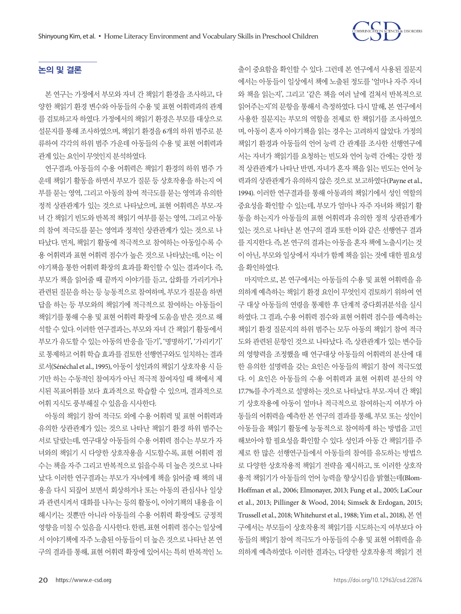

# 논의 및 결론

본 연구는 가정에서 부모와 자녀 간 책읽기 환경을 조사하고, 다 양한 책읽기 환경 변수와 아동들의 수용 및 표현 어휘력과의 관계 를 검토하고자 하였다. 가정에서의 책읽기 환경은 부모를 대상으로 설문지를 통해 조사하였으며, 책읽기 환경을 6개의 하위 범주로 분 류하여 각각의 하위 범주 가운데 아동들의 수용 및 표현 어휘력과 관계 있는 요인이 무엇인지 분석하였다.

연구결과, 아동들의 수용 어휘력은 책읽기 환경의 하위 범주 가 운데 책읽기 활동을 하면서 부모가 질문 등 상호작용을 하는지 여 부를 묻는 영역, 그리고 아동의 참여 적극도를 묻는 영역과 유의한 정적 상관관계가 있는 것으로 나타났으며, 표현 어휘력은 부모-자 녀 간 책읽기 빈도와 반복적 책읽기 여부를 묻는 영역, 그리고 아동 의 참여 적극도를 묻는 영역과 정적인 상관관계가 있는 것으로 나 타났다. 먼저, 책읽기 활동에 적극적으로 참여하는 아동일수록 수 용 어휘력과 표현 어휘력 점수가 높은 것으로 나타났는데, 이는 이 야기책을 통한 어휘력 확장의 효과를 확인할 수 있는 결과이다. 즉, 부모가 책을 읽어줄 때 끝까지 이야기를 듣고, 삽화를 가리키거나 관련된 질문을 하는 등 능동적으로 참여하며, 부모가 질문을 하면 답을 하는 등 부모와의 책읽기에 적극적으로 참여하는 아동들이 책읽기를 통해 수용 및 표현 어휘력 확장에 도움을 받은 것으로 해 석할 수 있다. 이러한 연구결과는, 부모와 자녀 간 책읽기 활동에서 부모가 유도할 수 있는 아동의 반응을 '듣기', '명명하기', '가리키기' 로 통제하고 어휘 학습 효과를 검토한 선행연구와도 일치하는 결과 로서(Sénéchal et al., 1995), 아동이 성인과의 책읽기 상호작용 시 듣 기만 하는 수동적인 참여자가 아닌 적극적 참여자일 때 책에서 제 시된 목표어휘를 보다 효과적으로 학습할 수 있으며, 결과적으로 어휘지식도풍부해질수있음을시사한다.

아동의 책읽기 참여 적극도 외에 수용 어휘력 및 표현 어휘력과 유의한 상관관계가 있는 것으로 나타난 책읽기 환경 하위 범주는 서로 달랐는데, 연구대상 아동들의 수용 어휘력 점수는 부모가 자 녀와의 책읽기 시 다양한 상호작용을 시도할수록, 표현 어휘력 점 수는 책을 자주 그리고 반복적으로 읽을수록 더 높은 것으로 나타 났다. 이러한 연구결과는 부모가 자녀에게 책을 읽어줄 때 책의 내 용을 다시 되짚어 보면서 회상하거나 또는 아동의 관심사나 일상 과 관련시켜서 대화를 나누는 등의 활동이, 이야기책의 내용을 이 해시키는 것뿐만 아니라 아동들의 수용 어휘력 확장에도 긍정적 영향을 미칠 수 있음을 시사한다. 한편, 표현 어휘력 점수는 일상에 서 이야기책에 자주 노출된 아동들이 더 높은 것으로 나타난 본 연 구의 결과를 통해, 표현 어휘력 확장에 있어서는 특히 반복적인 노 출이 중요함을 확인할 수 있다. 그런데 본 연구에서 사용된 질문지 에서는 아동들이 일상에서 책에 노출된 정도를 '얼마나 자주 자녀 와 책을 읽는지', 그리고 '같은 책을 여러 날에 걸쳐서 반복적으로 읽어주는지'의 문항을 통해서 측정하였다. 다시 말해, 본 연구에서 사용한 질문지는 부모의 역할을 전제로 한 책읽기를 조사하였으 며, 아동이 혼자 이야기책을 읽는 경우는 고려하지 않았다. 가정의 책읽기 환경과 아동들의 언어 능력 간 관계를 조사한 선행연구에 서는 자녀가 책읽기를 요청하는 빈도와 언어 능력 간에는 강한 정 적 상관관계가 나타난 반면, 자녀가 혼자 책을 읽는 빈도는 언어 능 력과의 상관관계가 유의하지 않은 것으로 보고하였다(Payne et al., 1994). 이러한 연구결과를 통해 아동과의 책읽기에서 성인 역할의 중요성을 확인할 수 있는데, 부모가 얼마나 자주 자녀와 책읽기 활 동을 하는지가 아동들의 표현 어휘력과 유의한 정적 상관관계가 있는 것으로 나타난 본 연구의 결과 또한 이와 같은 선행연구 결과 를지지한다. 즉, 본연구의결과는아동을혼자책에노출시키는것 이 아닌, 부모와 일상에서 자녀가 함께 책을 읽는 것에 대한 필요성 을확인하였다.

마지막으로, 본 연구에서는 아동들의 수용 및 표현 어휘력을 유 의하게 예측하는 책읽기 환경 요인이 무엇인지 검토하기 위하여 연 구 대상 아동들의 연령을 통제한 후 단계적 중다회귀분석을 실시 하였다. 그 결과, 수용 어휘력 점수와 표현 어휘력 점수를 예측하는 책읽기 환경 질문지의 하위 범주는 모두 아동의 책읽기 참여 적극 도와 관련된 문항인 것으로 나타났다. 즉, 상관관계가 있는 변수들 의 영향력을 조정했을 때 연구대상 아동들의 어휘력의 분산에 대 한 유의한 설명력을 갖는 요인은 아동들의 책읽기 참여 적극도였 다. 이 요인은 아동들의 수용 어휘력과 표현 어휘력 분산의 약 17.7%를 추가적으로 설명하는 것으로 나타났다. 부모-자녀 간 책읽 기 상호작용에 아동이 얼마나 적극적으로 참여하는지 여부가 아 동들의 어휘력을 예측한 본 연구의 결과를 통해, 부모 또는 성인이 아동들을 책읽기 활동에 능동적으로 참여하게 하는 방법을 고민 해보아야 할 필요성을 확인할 수 있다. 성인과 아동 간 책읽기를 주 제로 한 많은 선행연구들에서 아동들의 참여를 유도하는 방법으 로 다양한 상호작용적 책읽기 전략을 제시하고, 또 이러한 상호작 용적 책읽기가 아동들의 언어 능력을 향상시킴을 밝혔는데(Blom-Hoffman et al., 2006; Elmonayer, 2013; Fung et al., 2005; LaCour et al., 2013; Pillinger & Wood, 2014; Simsek & Erdogan, 2015; Trussell et al., 2018; Whitehurst et al., 1988; Yim et al., 2018), 본 연 구에서는 부모들이 상호작용적 책읽기를 시도하는지 여부보다 아 동들의 책읽기 참여 적극도가 아동들의 수용 및 표현 어휘력을 유 의하게 예측하였다. 이러한 결과는, 다양한 상호작용적 책읽기 전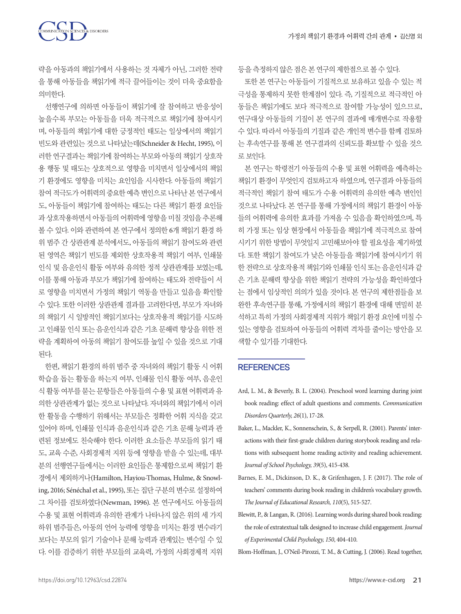SCIENCES & DISORDERS

략을 아동과의 책읽기에서 사용하는 것 자체가 아닌, 그러한 전략 을 통해 아동들을 책읽기에 적극 끌어들이는 것이 더욱 중요함을 의미한다.

선행연구에 의하면 아동들이 책읽기에 잘 참여하고 반응성이 높을수록 부모는 아동들을 더욱 적극적으로 책읽기에 참여시키 며, 아동들의 책읽기에 대한 긍정적인 태도는 일상에서의 책읽기 빈도와 관련있는 것으로 나타났는데(Schneider & Hecht, 1995), 이 러한 연구결과는 책읽기에 참여하는 부모와 아동의 책읽기 상호작 용 행동 및 태도는 상호적으로 영향을 미치면서 일상에서의 책읽 기 환경에도 영향을 미치는 요인임을 시사한다. 아동들의 책읽기 참여적극도가어휘력의중요한예측변인으로나타난본연구에서 도, 아동들이 책읽기에 참여하는 태도는 다른 책읽기 환경 요인들 과 상호작용하면서 아동들의 어휘력에 영향을 미칠 것임을 추론해 볼 수 있다. 이와 관련하여 본 연구에서 정의한 6개 책읽기 환경 하 위 범주 간 상관관계 분석에서도, 아동들의 책읽기 참여도와 관련 된 영역은 책읽기 빈도를 제외한 상호작용적 책읽기 여부, 인쇄물 인식 및 음운인식 활동 여부와 유의한 정적 상관관계를 보였는데, 이를 통해 아동과 부모가 책읽기에 참여하는 태도와 전략들이 서 로 영향을 미치면서 가정의 책읽기 역동을 만들고 있음을 확인할 수 있다. 또한 이러한 상관관계 결과를 고려한다면, 부모가 자녀와 의 책읽기 시 일방적인 책읽기보다는 상호작용적 책읽기를 시도하 고 인쇄물 인식 또는 음운인식과 같은 기초 문해력 향상을 위한 전 략을 계획하여 아동의 책읽기 참여도를 높일 수 있을 것으로 기대 된다.

한편, 책읽기 환경의 하위 범주 중 자녀와의 책읽기 활동 시 어휘 학습을 돕는 활동을 하는지 여부, 인쇄물 인식 활동 여부, 음운인 식 활동 여부를 묻는 문항들은 아동들의 수용 및 표현 어휘력과 유 의한 상관관계가 없는 것으로 나타났다. 자녀와의 책읽기에서 이러 한 활동을 수행하기 위해서는 부모들은 정확한 어휘 지식을 갖고 있어야 하며, 인쇄물 인식과 음운인식과 같은 기초 문해 능력과 관 련된 정보에도 친숙해야 한다. 이러한 요소들은 부모들의 읽기 태 도, 교육 수준, 사회경제적 지위 등에 영향을 받을 수 있는데, 대부 분의 선행연구들에서는 이러한 요인들은 통제함으로써 책읽기 환 경에서 제외하거나(Hamilton, Hayiou-Thomas, Hulme, & Snowling, 2016; Sénéchal et al., 1995), 또는 집단 구분의 변수로 설정하여 그 차이를 검토하였다(Newman, 1996). 본 연구에서도 아동들의 수용 및 표현 어휘력과 유의한 관계가 나타나지 않은 위의 세 가지 하위 범주들은, 아동의 언어 능력에 영향을 미치는 환경 변수라기 보다는 부모의 읽기 기술이나 문해 능력과 관계있는 변수일 수 있 다. 이를 검증하기 위한 부모들의 교육력, 가정의 사회경제적 지위 등을 측정하지 않은 점은 본 연구의 제한점으로 볼 수 있다.

또한 본 연구는 아동들이 기질적으로 보유하고 있을 수 있는 적 극성을 통제하지 못한 한계점이 있다. 즉, 기질적으로 적극적인 아 동들은 책읽기에도 보다 적극적으로 참여할 가능성이 있으므로, 연구대상 아동들의 기질이 본 연구의 결과에 매개변수로 작용할 수 있다. 따라서 아동들의 기질과 같은 개인적 변수를 함께 검토하 는 후속연구를 통해 본 연구결과의 신뢰도를 확보할 수 있을 것으 로보인다.

본 연구는 학령전기 아동들의 수용 및 표현 어휘력을 예측하는 책읽기 환경이 무엇인지 검토하고자 하였으며, 연구결과 아동들의 적극적인 책읽기 참여 태도가 수용 어휘력의 유의한 예측 변인인 것으로 나타났다. 본 연구를 통해 가정에서의 책읽기 환경이 아동 들의 어휘력에 유의한 효과를 가져올 수 있음을 확인하였으며, 특 히 가정 또는 임상 현장에서 아동들을 책읽기에 적극적으로 참여 시키기 위한 방법이 무엇일지 고민해보아야 할 필요성을 제기하였 다. 또한 책읽기 참여도가 낮은 아동들을 책읽기에 참여시키기 위 한 전략으로 상호작용적 책읽기와 인쇄물 인식 또는 음운인식과 같 은 기초 문해력 향상을 위한 책읽기 전략의 가능성을 확인하였다 는 점에서 임상적인 의의가 있을 것이다. 본 연구의 제한점들을 보 완한 후속연구를 통해, 가정에서의 책읽기 환경에 대해 면밀히 분 석하고 특히 가정의 사회경제적 지위가 책읽기 환경 요인에 미칠 수 있는 영향을 검토하여 아동들의 어휘력 격차를 줄이는 방안을 모 색할수있기를기대한다.

#### **REFERENCES**

- Ard, L. M., & Beverly, B. L. (2004). Preschool word learning during joint book reading: effect of adult questions and comments. *Communication Disorders Quarterly, 26*(1), 17-28.
- Baker, L., Mackler, K., Sonnenschein, S., & Serpell, R. (2001). Parents' interactions with their first-grade children during storybook reading and relations with subsequent home reading activity and reading achievement. *Journal of School Psychology, 39*(5), 415-438.
- Barnes, E. M., Dickinson, D. K., & Grifenhagen, J. F. (2017). The role of teachers' comments during book reading in children's vocabulary growth. *The Journal of Educational Research, 110*(5), 515-527.
- Blewitt, P., & Langan, R. (2016). Learning words during shared book reading: the role of extratextual talk designed to increase child engagement. *Journal of Experimental Child Psychology, 150*, 404-410.

Blom-Hoffman, J., O'Neil-Pirozzi, T. M., & Cutting, J. (2006). Read together,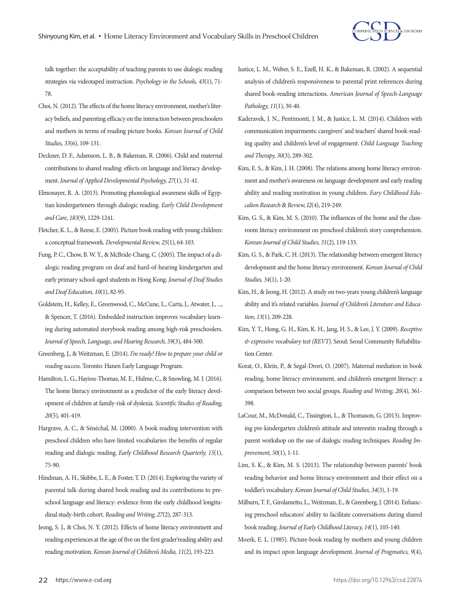

talk together: the acceptability of teaching parents to use dialogic reading strategies via videotaped instruction. *Psychology in the Schools, 43*(1), 71- 78.

- Choi, N. (2012). The effects of the home literacy environment, mother's literacy beliefs, and parenting efficacy on the interaction between preschoolers and mothers in terms of reading picture books. *Korean Journal of Child Studies, 33*(6), 109-131.
- Deckner, D. F., Adamson, L. B., & Bakeman, R. (2006). Child and maternal contributions to shared reading: effects on language and literacy development. *Journal of Applied Developmental Psychology, 27*(1), 31-41.
- Elmonayer, R. A. (2013). Promoting phonological awareness skills of Egyptian kindergarteners through dialogic reading. *Early Child Development and Care, 183*(9), 1229-1241.
- Fletcher, K. L., & Reese, E. (2005). Picture book reading with young children: a conceptual framework. *Developmental Review, 25*(1), 64-103.
- Fung, P. C., Chow, B. W. Y., & McBride-Chang, C. (2005). The impact of a dialogic reading program on deaf and hard-of-hearing kindergarten and early primary school-aged students in Hong Kong. *Journal of Deaf Studies and Deaf Education, 10*(1), 82-95.
- Goldstein, H., Kelley, E., Greenwood, C., McCune, L., Carta, J., Atwater, J., ..., & Spencer, T. (2016). Embedded instruction improves vocabulary learning during automated storybook reading among high-risk preschoolers. *Journal of Speech, Language, and Hearing Research, 59*(3), 484-500.
- Greenberg, J., & Weitzman, E. (2014). *I'm ready! How to prepare your child or reading success*. Toronto: Hanen Early Language Program.
- Hamilton, L. G., Hayiou-Thomas, M. E., Hulme, C., & Snowling, M. J. (2016). The home literacy environment as a predictor of the early literacy development of children at family-risk of dyslexia. *Scientific Studies of Reading, 20*(5), 401-419.
- Hargrave, A. C., & Sénéchal, M. (2000). A book reading intervention with preschool children who have limited vocabularies: the benefits of regular reading and dialogic reading. *Early Childhood Research Quarterly, 15*(1), 75-90.
- Hindman, A. H., Skibbe, L. E., & Foster, T. D. (2014). Exploring the variety of parental talk during shared book reading and its contributions to preschool language and literacy: evidence from the early childhood longitudinal study-birth cohort. *Reading and Writing, 27*(2), 287-313.
- Jeong, S. J., & Choi, N. Y. (2012). Effects of home literacy environment and reading experiences at the age of five on the first grader'reading ability and reading motivation. *Korean Journal of Children's Media, 11*(2), 193-223.
- Justice, L. M., Weber, S. E., Ezell, H. K., & Bakeman, R. (2002). A sequential analysis of children's responsiveness to parental print references during shared book-reading interactions. *American Journal of Speech-Language Pathology, 11*(1), 30-40.
- Kaderavek, J. N., Pentimonti, J. M., & Justice, L. M. (2014). Children with communication impairments: caregivers' and teachers' shared book-reading quality and children's level of engagement. *Child Language Teaching and Therapy, 30*(3), 289-302.
- Kim, E. S., & Kim, J. H. (2008). The relations among home literacy environment and mother's awareness on language development and early reading ability and reading motivation in young children. *Eary Childhood Educalion Research*& *Review, I2*(4), 219-249.
- Kim, G. S., & Kim, M. S. (2010). The influences of the home and the classroom literacy environment on preschool children's story comprehension. *Korean Journal of Child Studies, 31*(2), 119-133.
- Kim, G. S., & Park, C. H. (2013). The relationship between emergent literacy development and the home literacy environment. *Korean Journal of Child Studies, 34*(1), 1-20.
- Kim, H., & Jeong, H. (2012). A study on two-years young children's language ability and it's related variables. *Journal of Children's Literature and Education, 13*(1), 209-228.
- Kim, Y. T., Hong, G. H., Kim, K. H., Jang, H. S., & Lee, J. Y. (2009). *Receptive & expressive vocabulary test (REVT)*. Seoul: Seoul Community Rehabilitation Center.
- Korat, O., Klein, P., & Segal-Drori, O. (2007). Maternal mediation in book reading, home literacy environment, and children's emergent literacy: a comparison between two social groups. *Reading and Writing, 20*(4), 361- 398.
- LaCour, M., McDonald, C., Tissington, L., & Thomason, G. (2013). Improving pre-kindergarten children's attitude and interestin reading through a parent workshop on the use of dialogic reading techniques. *Reading Improvement, 50*(1), 1-11.
- Lim, S. K., & Kim, M. S. (2013). The relationship between parents' book reading behavior and home literacy environment and their effect on a toddler's vocabulary. *Korean Journal of Child Studies, 34*(3), 1-19.
- Milburn, T. F., Girolametto, L., Weitzman, E., & Greenberg, J. (2014). Enhancing preschool educators' ability to facilitate conversations during shared book reading. *Journal of Early Childhood Literacy, 14*(1), 105-140.
- Moerk, E. L. (1985). Picture-book reading by mothers and young children and its impact upon language development. *Journal of Pragmatics, 9*(4),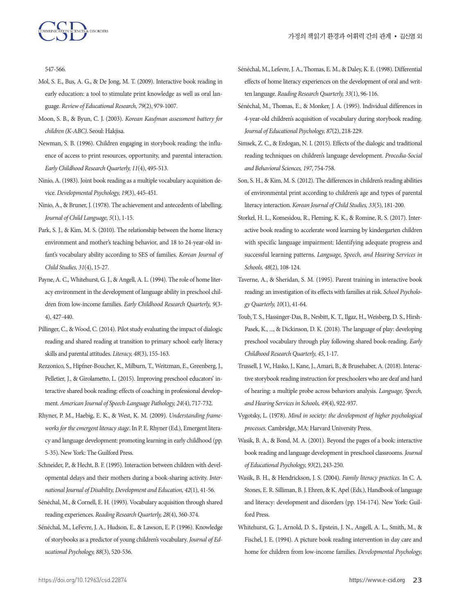

547-566.

- Mol, S. E., Bus, A. G., & De Jong, M. T. (2009). Interactive book reading in early education: a tool to stimulate print knowledge as well as oral language. *Review of Educational Research, 79*(2), 979-1007.
- Moon, S. B., & Byun, C. J. (2003). *Korean Kaufman assessment battery for children (K-ABC)*. Seoul: Hakjisa.
- Newman, S. B. (1996). Children engaging in storybook reading: the influence of access to print resources, opportunity, and parental interaction. *Early Childhood Research Quarterly, 11*(4), 495-513.
- Ninio, A. (1983). Joint book reading as a multiple vocabulary acquisition device. *Developmental Psychology, 19*(3), 445-451.
- Ninio, A., & Bruner, J. (1978). The achievement and antecedents of labelling. *Journal of Child Language, 5*(1), 1-15.
- Park, S. J., & Kim, M. S. (2010). The relationship between the home literacy environment and mother's teaching behavior, and 18 to 24-year-old infant's vocabulary ability according to SES of families. *Korean Journal of Child Studies, 31*(4), 15-27.
- Payne, A. C., Whitehurst, G. J., & Angell, A. L. (1994). The role of home literacy environment in the development of language ability in preschool children from low-income families. *Early Childhood Research Quarterly, 9*(3- 4), 427-440.
- Pillinger, C., & Wood, C. (2014). Pilot study evaluating the impact of dialogic reading and shared reading at transition to primary school: early literacy skills and parental attitudes. *Literacy, 48*(3), 155-163.
- Rezzonico, S., Hipfner-Boucher, K., Milburn, T., Weitzman, E., Greenberg, J., Pelletier, J., & Girolametto, L. (2015). Improving preschool educators' interactive shared book reading: effects of coaching in professional development. *American Journal of Speech-Language Pathology, 24*(4), 717-732.
- Rhyner, P. M., Haebig, E. K., & West, K. M. (2009). *Understanding frameworks for the emergent literacy stage*. In P. E. Rhyner (Ed.), Emergent literacy and language development: promoting learning in early childhood (pp. 5-35). New York: The Guilford Press.
- Schneider, P., & Hecht, B. F. (1995). Interaction between children with developmental delays and their mothers during a book-sharing activity. *International Journal of Disability, Development and Education, 42*(1), 41-56.
- Sénéchal, M., & Cornell, E. H. (1993). Vocabulary acquisition through shared reading experiences. *Reading Research Quarterly, 28*(4), 360-374.
- Sénéchal, M., LeFevre, J. A., Hudson, E., & Lawson, E. P. (1996). Knowledge of storybooks as a predictor of young children's vocabulary. *Journal of Educational Psychology, 88*(3), 520-536.
- Sénéchal, M., Lefevre, J. A., Thomas, E. M., & Daley, K. E. (1998). Differential effects of home literacy experiences on the development of oral and written language. *Reading Research Quarterly, 33*(1), 96-116.
- Sénéchal, M., Thomas, E., & Monker, J. A. (1995). Individual differences in 4-year-old children's acquisition of vocabulary during storybook reading. *Journal of Educational Psychology, 87*(2), 218-229.
- Simsek, Z. C., & Erdogan, N. I. (2015). Effects of the dialogic and traditional reading techniques on children's language development. *Procedia-Social and Behavioral Sciences, 197*, 754-758.
- Son, S. H., & Kim, M. S. (2012). The differences in children's reading abilities of environmental print according to children's age and types of parental literacy interaction. *Korean Journal of Child Studies, 33*(5), 181-200.
- Storkel, H. L., Komesidou, R., Fleming, K. K., & Romine, R. S. (2017). Interactive book reading to accelerate word learning by kindergarten children with specific language impairment: Identifying adequate progress and successful learning patterns. *Language, Speech, and Hearing Services in Schools, 48*(2), 108-124.
- Taverne, A., & Sheridan, S. M. (1995). Parent training in interactive book reading: an investigation of its effects with families at risk. *School Psychology Quarterly, 10*(1), 41-64.
- Toub, T. S., Hassinger-Das, B., Nesbitt, K. T., Ilgaz, H., Weisberg, D. S., Hirsh-Pasek, K., ..., & Dickinson, D. K. (2018). The language of play: developing preschool vocabulary through play following shared book-reading. *Early Childhood Research Quarterly, 45*, 1-17.
- Trussell, J. W., Hasko, J., Kane, J., Amari, B., & Brusehaber, A. (2018). Interactive storybook reading instruction for preschoolers who are deaf and hard of hearing: a multiple probe across behaviors analysis. *Language, Speech, and Hearing Services in Schools, 49*(4), 922-937.
- Vygotsky, L. (1978). *Mind in society: the development of higher psychological processes*. Cambridge, MA: Harvard University Press.
- Wasik, B. A., & Bond, M. A. (2001). Beyond the pages of a book: interactive book reading and language development in preschool classrooms. *Journal of Educational Psychology, 93*(2), 243-250.
- Wasik, B. H., & Hendrickson, J. S. (2004). *Family literacy practices*. In C. A. Stones, E. R. Silliman, B. J. Ehren, & K. Apel (Eds.), Handbook of language and literacy: development and disorders (pp. 154-174). New York: Guilford Press.
- Whitehurst, G. J., Arnold, D. S., Epstein, J. N., Angell, A. L., Smith, M., & Fischel, J. E. (1994). A picture book reading intervention in day care and home for children from low-income families. *Developmental Psychology,*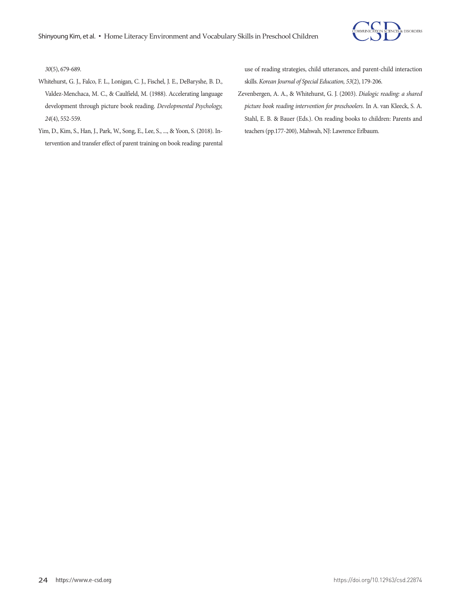

*30*(5), 679-689.

- Whitehurst, G. J., Falco, F. L., Lonigan, C. J., Fischel, J. E., DeBaryshe, B. D., Valdez-Menchaca, M. C., & Caulfield, M. (1988). Accelerating language development through picture book reading. *Developmental Psychology, 24*(4), 552-559.
- Yim, D., Kim, S., Han, J., Park, W., Song, E., Lee, S., ..., & Yoon, S. (2018). Intervention and transfer effect of parent training on book reading: parental

use of reading strategies, child utterances, and parent-child interaction skills. *Korean Journal of Special Education, 53*(2), 179-206.

Zevenbergen, A. A., & Whitehurst, G. J. (2003). *Dialogic reading: a shared picture book reading intervention for preschoolers*. In A. van Kleeck, S. A. Stahl, E. B. & Bauer (Eds.). On reading books to children: Parents and teachers (pp.177-200), Mahwah, NJ: Lawrence Erlbaum.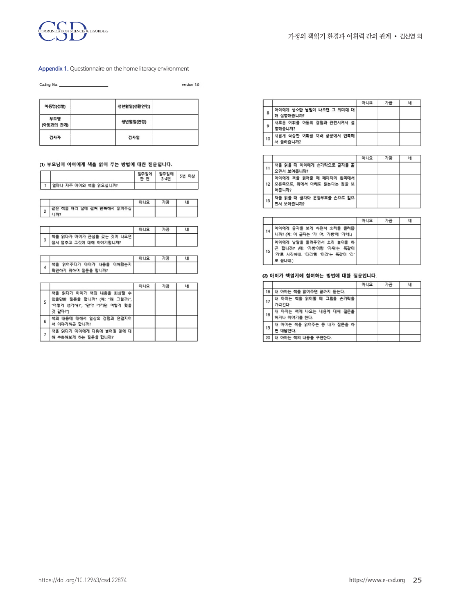

#### **Appendix 1.** Questionnaire on the home literacy environment

version 1.0

| 아동명(성별)          | 생년월일(생활연령) |  |
|------------------|------------|--|
| 부모명<br>(아동과의 관계) | 생년윌일(연령)   |  |
| 검사자              | 검사일        |  |

#### (1) 부모님이 아이에게 책을 읽어 주는 방법에 대한 질문입니다.

|   |                                                                                                 | 일주일에<br>한 번 | 일주일에<br>3-4번 | 5번 이상 |
|---|-------------------------------------------------------------------------------------------------|-------------|--------------|-------|
|   | 얼마나 자주 아이와 책을 읽으십니까?                                                                            |             |              |       |
|   |                                                                                                 |             |              |       |
|   |                                                                                                 | 아니요         | 가끔           | ч     |
| 2 | 같은 책을 여러 날에 걸쳐 반복해서 읽어주십<br>니까?                                                                 |             |              |       |
|   |                                                                                                 |             |              |       |
|   |                                                                                                 | 아니요         | 가끔           | ч     |
| 3 | 책을 읽다가 아이가 관심을 갖는 것이 나오면<br>장시 멈추고 그것에 대해 이야기합니까?                                               |             |              |       |
|   |                                                                                                 |             |              |       |
|   |                                                                                                 | 아니요         | 가끔           | 네     |
| 4 | 책을 읽어주다가 아이가 내용을 이해했는지<br>확인하기 위하여 질문을 합니까?                                                     |             |              |       |
|   |                                                                                                 |             |              |       |
|   |                                                                                                 | 아니요         | 가끔           | ч     |
| 5 | 책을 읽다가 아이가 책의 내용을 회상할 수<br>있을만한 질문을 합니까? (예: "왜 그럴까?",<br>"어떻게 생각해?", "만약 너라면 어떻게 했을<br>것 같아?") |             |              |       |
| 6 | 책의 내용에 대해서 일상의 경험과 연결지어<br>서 이야기하곤 합니까?                                                         |             |              |       |
| 7 | 책을 읽다가 아이에게 다음에 벌어질 일에 대<br>해 추측해보게 하는 질문을 합니까?                                                 |             |              |       |

|    |                                       | 아니요 | 가끔 | 네 |
|----|---------------------------------------|-----|----|---|
| 8  | 아이에게 생소한 낱말이 나오면 그 의미에 대<br>해 설명해줍니까? |     |    |   |
| 9  | 새로운 어휘를 아동의 경험과 관련시켜서 설<br>명해줍니까?     |     |    |   |
| 10 | 새롭게 학습한 어휘를 여러 상황에서 반복해<br>서 들려줍니까?   |     |    |   |

|    |                                                              | 아니요 | 가끔 | 녜 |
|----|--------------------------------------------------------------|-----|----|---|
| 11 | 책을 읽을 때 아이에게 손가락으로 글자를 훑<br>으면서 보여줍니까?                       |     |    |   |
| 12 | 아이에게 책을 읽어줄 때 페이지의 왼쪽에서<br>오른쪽으로, 위에서 아래로 읽는다는 점을 보<br>여줍니까? |     |    |   |
| 13 | 책을 읽을 때 글자와 문장부호를 손으로 짚으<br>면서 보여줍니까?                        |     |    |   |

|    |                                                                                                    | 아니요 | 가끔 | 녜 |
|----|----------------------------------------------------------------------------------------------------|-----|----|---|
| 14 | 아이에게 글자를 보게 하면서 소리를 들려줍<br>니까? (예: 이 글자는 '가' 야. '가방'에 '가'네.)                                       |     |    |   |
| 15 | 아이에게 낱말을 들려주면서 소리 놀이를 하<br>곤 합니까? (예: '가방'이랑 '가위'는 똑같이<br>'가로 시작하네. '다리'랑 '머리'는 똑같이 '리'<br>로 끝나네.) |     |    |   |

#### (2) 아이가 책읽기에 참여하는 방법에 대한 질문입니다.

|    |                                         | 아니요 | 가끔 | 네 |
|----|-----------------------------------------|-----|----|---|
| 16 | 내 아이는 책을 읽어주면 끝까지 듣는다.                  |     |    |   |
| 17 | 내 아이는 책을 읽어줄 때 그림을 손가락을<br>가리킨다.        |     |    |   |
| 18 | 내 아이는 책에 나오는 내용에 대해 질문을<br>하거나 이야기를 한다. |     |    |   |
| 19 | 내 아이는 책을 읽어주는 중 내가 질문을 하<br>면 대답한다.     |     |    |   |
| 20 | 내 아이는 책의 내용을 구연한다.                      |     |    |   |